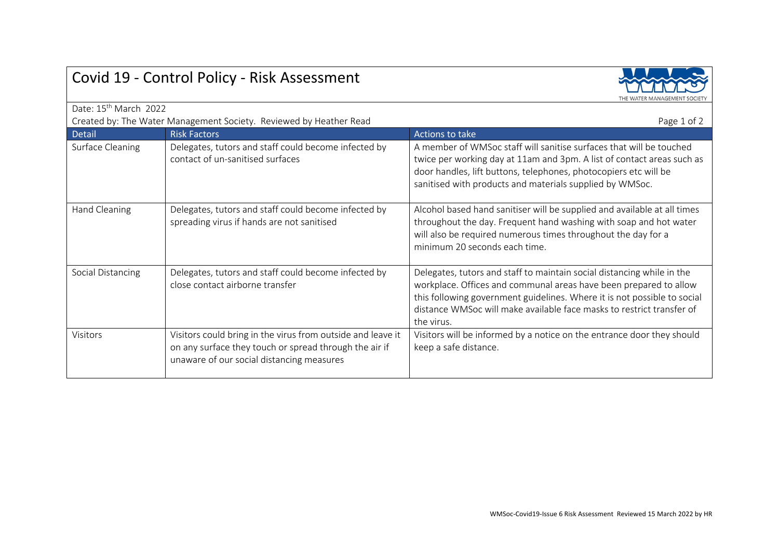|                                                                                   |                                                                                                                                                                    | THE WATER MANAGEMENT SOCIET                                                                                                                                                                                                                                                                                    |  |
|-----------------------------------------------------------------------------------|--------------------------------------------------------------------------------------------------------------------------------------------------------------------|----------------------------------------------------------------------------------------------------------------------------------------------------------------------------------------------------------------------------------------------------------------------------------------------------------------|--|
| Date: 15 <sup>th</sup> March 2022                                                 |                                                                                                                                                                    |                                                                                                                                                                                                                                                                                                                |  |
| Created by: The Water Management Society. Reviewed by Heather Read<br>Page 1 of 2 |                                                                                                                                                                    |                                                                                                                                                                                                                                                                                                                |  |
| <b>Detail</b>                                                                     | <b>Risk Factors</b>                                                                                                                                                | Actions to take                                                                                                                                                                                                                                                                                                |  |
| Surface Cleaning                                                                  | Delegates, tutors and staff could become infected by<br>contact of un-sanitised surfaces                                                                           | A member of WMSoc staff will sanitise surfaces that will be touched<br>twice per working day at 11am and 3pm. A list of contact areas such as<br>door handles, lift buttons, telephones, photocopiers etc will be<br>sanitised with products and materials supplied by WMSoc.                                  |  |
| Hand Cleaning                                                                     | Delegates, tutors and staff could become infected by<br>spreading virus if hands are not sanitised                                                                 | Alcohol based hand sanitiser will be supplied and available at all times<br>throughout the day. Frequent hand washing with soap and hot water<br>will also be required numerous times throughout the day for a<br>minimum 20 seconds each time.                                                                |  |
| Social Distancing                                                                 | Delegates, tutors and staff could become infected by<br>close contact airborne transfer                                                                            | Delegates, tutors and staff to maintain social distancing while in the<br>workplace. Offices and communal areas have been prepared to allow<br>this following government guidelines. Where it is not possible to social<br>distance WMSoc will make available face masks to restrict transfer of<br>the virus. |  |
| Visitors                                                                          | Visitors could bring in the virus from outside and leave it<br>on any surface they touch or spread through the air if<br>unaware of our social distancing measures | Visitors will be informed by a notice on the entrance door they should<br>keep a safe distance.                                                                                                                                                                                                                |  |

## Covid 19 - Control Policy - Risk Assessment